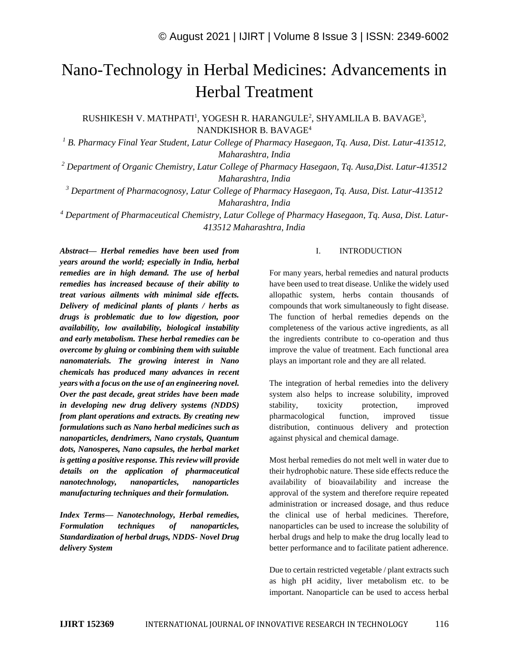# Nano-Technology in Herbal Medicines: Advancements in Herbal Treatment

RUSHIKESH V. MATHPATI<sup>1</sup>, YOGESH R. HARANGULE<sup>2</sup>, SHYAMLILA B. BAVAGE<sup>3</sup>, NANDKISHOR B. BAVAGE<sup>4</sup>

*<sup>1</sup> B. Pharmacy Final Year Student, Latur College of Pharmacy Hasegaon, Tq. Ausa, Dist. Latur-413512, Maharashtra, India*

*<sup>2</sup> Department of Organic Chemistry, Latur College of Pharmacy Hasegaon, Tq. Ausa,Dist. Latur-413512 Maharashtra, India*

*<sup>3</sup> Department of Pharmacognosy, Latur College of Pharmacy Hasegaon, Tq. Ausa, Dist. Latur-413512 Maharashtra, India*

*<sup>4</sup> Department of Pharmaceutical Chemistry, Latur College of Pharmacy Hasegaon, Tq. Ausa, Dist. Latur-413512 Maharashtra, India*

*Abstract— Herbal remedies have been used from years around the world; especially in India, herbal remedies are in high demand. The use of herbal remedies has increased because of their ability to treat various ailments with minimal side effects. Delivery of medicinal plants of plants / herbs as drugs is problematic due to low digestion, poor availability, low availability, biological instability and early metabolism. These herbal remedies can be overcome by gluing or combining them with suitable nanomaterials. The growing interest in Nano chemicals has produced many advances in recent years with a focus on the use of an engineering novel. Over the past decade, great strides have been made in developing new drug delivery systems (NDDS) from plant operations and extracts. By creating new formulations such as Nano herbal medicines such as nanoparticles, dendrimers, Nano crystals, Quantum dots, Nanosperes, Nano capsules, the herbal market is getting a positive response. This review will provide details on the application of pharmaceutical nanotechnology, nanoparticles, nanoparticles manufacturing techniques and their formulation.*

*Index Terms— Nanotechnology, Herbal remedies, Formulation techniques of nanoparticles, Standardization of herbal drugs, NDDS- Novel Drug delivery System*

#### I. INTRODUCTION

For many years, herbal remedies and natural products have been used to treat disease. Unlike the widely used allopathic system, herbs contain thousands of compounds that work simultaneously to fight disease. The function of herbal remedies depends on the completeness of the various active ingredients, as all the ingredients contribute to co-operation and thus improve the value of treatment. Each functional area plays an important role and they are all related.

The integration of herbal remedies into the delivery system also helps to increase solubility, improved stability, toxicity protection, improved pharmacological function, improved tissue distribution, continuous delivery and protection against physical and chemical damage.

Most herbal remedies do not melt well in water due to their hydrophobic nature. These side effects reduce the availability of bioavailability and increase the approval of the system and therefore require repeated administration or increased dosage, and thus reduce the clinical use of herbal medicines. Therefore, nanoparticles can be used to increase the solubility of herbal drugs and help to make the drug locally lead to better performance and to facilitate patient adherence.

Due to certain restricted vegetable / plant extracts such as high pH acidity, liver metabolism etc. to be important. Nanoparticle can be used to access herbal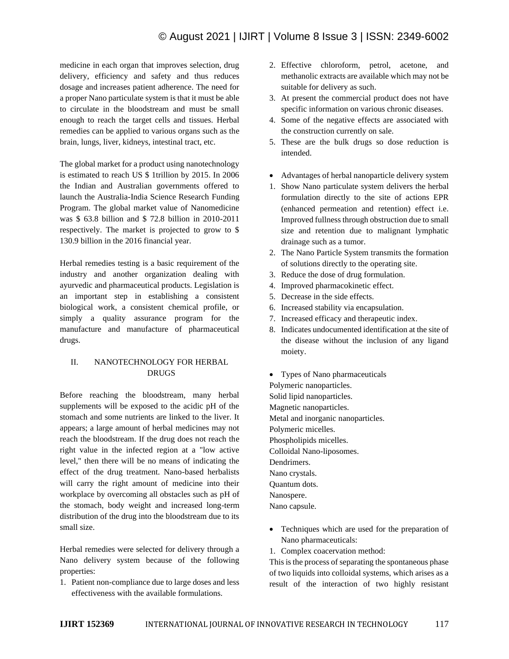medicine in each organ that improves selection, drug delivery, efficiency and safety and thus reduces dosage and increases patient adherence. The need for a proper Nano particulate system is that it must be able to circulate in the bloodstream and must be small enough to reach the target cells and tissues. Herbal remedies can be applied to various organs such as the brain, lungs, liver, kidneys, intestinal tract, etc.

The global market for a product using nanotechnology is estimated to reach US \$ 1trillion by 2015. In 2006 the Indian and Australian governments offered to launch the Australia-India Science Research Funding Program. The global market value of Nanomedicine was \$ 63.8 billion and \$ 72.8 billion in 2010-2011 respectively. The market is projected to grow to \$ 130.9 billion in the 2016 financial year.

Herbal remedies testing is a basic requirement of the industry and another organization dealing with ayurvedic and pharmaceutical products. Legislation is an important step in establishing a consistent biological work, a consistent chemical profile, or simply a quality assurance program for the manufacture and manufacture of pharmaceutical drugs.

## II. NANOTECHNOLOGY FOR HERBAL DRUGS

Before reaching the bloodstream, many herbal supplements will be exposed to the acidic pH of the stomach and some nutrients are linked to the liver. It appears; a large amount of herbal medicines may not reach the bloodstream. If the drug does not reach the right value in the infected region at a "low active level," then there will be no means of indicating the effect of the drug treatment. Nano-based herbalists will carry the right amount of medicine into their workplace by overcoming all obstacles such as pH of the stomach, body weight and increased long-term distribution of the drug into the bloodstream due to its small size.

Herbal remedies were selected for delivery through a Nano delivery system because of the following properties:

1. Patient non-compliance due to large doses and less effectiveness with the available formulations.

- 2. Effective chloroform, petrol, acetone, and methanolic extracts are available which may not be suitable for delivery as such.
- 3. At present the commercial product does not have specific information on various chronic diseases.
- 4. Some of the negative effects are associated with the construction currently on sale.
- 5. These are the bulk drugs so dose reduction is intended.
- Advantages of herbal nanoparticle delivery system
- 1. Show Nano particulate system delivers the herbal formulation directly to the site of actions EPR (enhanced permeation and retention) effect i.e. Improved fullness through obstruction due to small size and retention due to malignant lymphatic drainage such as a tumor.
- 2. The Nano Particle System transmits the formation of solutions directly to the operating site.
- 3. Reduce the dose of drug formulation.
- 4. Improved pharmacokinetic effect.
- 5. Decrease in the side effects.
- 6. Increased stability via encapsulation.
- 7. Increased efficacy and therapeutic index.
- 8. Indicates undocumented identification at the site of the disease without the inclusion of any ligand moiety.
- Types of Nano pharmaceuticals Polymeric nanoparticles. Solid lipid nanoparticles. Magnetic nanoparticles. Metal and inorganic nanoparticles. Polymeric micelles. Phospholipids micelles. Colloidal Nano-liposomes. Dendrimers. Nano crystals. Quantum dots. Nanospere. Nano capsule.
- Techniques which are used for the preparation of Nano pharmaceuticals:
- 1. Complex coacervation method:

This is the process of separating the spontaneous phase of two liquids into colloidal systems, which arises as a result of the interaction of two highly resistant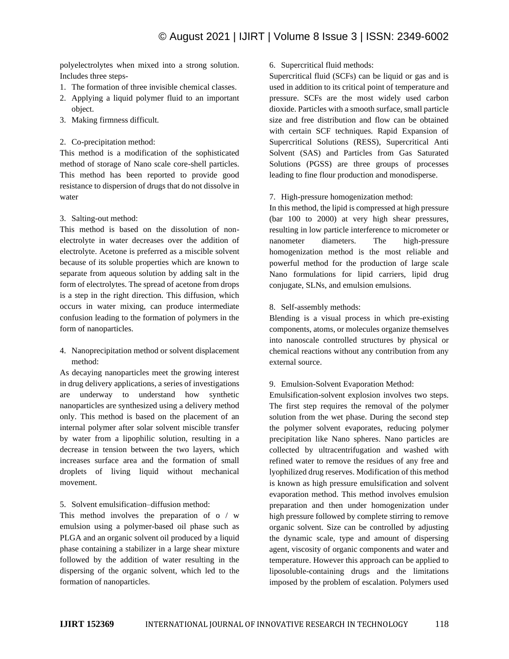polyelectrolytes when mixed into a strong solution. Includes three steps-

- 1. The formation of three invisible chemical classes.
- 2. Applying a liquid polymer fluid to an important object.
- 3. Making firmness difficult.
- 2. Co-precipitation method:

This method is a modification of the sophisticated method of storage of Nano scale core-shell particles. This method has been reported to provide good resistance to dispersion of drugs that do not dissolve in water

3. Salting-out method:

This method is based on the dissolution of nonelectrolyte in water decreases over the addition of electrolyte. Acetone is preferred as a miscible solvent because of its soluble properties which are known to separate from aqueous solution by adding salt in the form of electrolytes. The spread of acetone from drops is a step in the right direction. This diffusion, which occurs in water mixing, can produce intermediate confusion leading to the formation of polymers in the form of nanoparticles.

4. Nanoprecipitation method or solvent displacement method:

As decaying nanoparticles meet the growing interest in drug delivery applications, a series of investigations are underway to understand how synthetic nanoparticles are synthesized using a delivery method only. This method is based on the placement of an internal polymer after solar solvent miscible transfer by water from a lipophilic solution, resulting in a decrease in tension between the two layers, which increases surface area and the formation of small droplets of living liquid without mechanical movement.

5. Solvent emulsification–diffusion method:

This method involves the preparation of o / w emulsion using a polymer-based oil phase such as PLGA and an organic solvent oil produced by a liquid phase containing a stabilizer in a large shear mixture followed by the addition of water resulting in the dispersing of the organic solvent, which led to the formation of nanoparticles.

#### 6. Supercritical fluid methods:

Supercritical fluid (SCFs) can be liquid or gas and is used in addition to its critical point of temperature and pressure. SCFs are the most widely used carbon dioxide. Particles with a smooth surface, small particle size and free distribution and flow can be obtained with certain SCF techniques. Rapid Expansion of Supercritical Solutions (RESS), Supercritical Anti Solvent (SAS) and Particles from Gas Saturated Solutions (PGSS) are three groups of processes leading to fine flour production and monodisperse.

7. High-pressure homogenization method:

In this method, the lipid is compressed at high pressure (bar 100 to 2000) at very high shear pressures, resulting in low particle interference to micrometer or nanometer diameters. The high-pressure homogenization method is the most reliable and powerful method for the production of large scale Nano formulations for lipid carriers, lipid drug conjugate, SLNs, and emulsion emulsions.

8. Self-assembly methods:

Blending is a visual process in which pre-existing components, atoms, or molecules organize themselves into nanoscale controlled structures by physical or chemical reactions without any contribution from any external source.

9. Emulsion-Solvent Evaporation Method:

Emulsification-solvent explosion involves two steps. The first step requires the removal of the polymer solution from the wet phase. During the second step the polymer solvent evaporates, reducing polymer precipitation like Nano spheres. Nano particles are collected by ultracentrifugation and washed with refined water to remove the residues of any free and lyophilized drug reserves. Modification of this method is known as high pressure emulsification and solvent evaporation method. This method involves emulsion preparation and then under homogenization under high pressure followed by complete stirring to remove organic solvent. Size can be controlled by adjusting the dynamic scale, type and amount of dispersing agent, viscosity of organic components and water and temperature. However this approach can be applied to liposoluble-containing drugs and the limitations imposed by the problem of escalation. Polymers used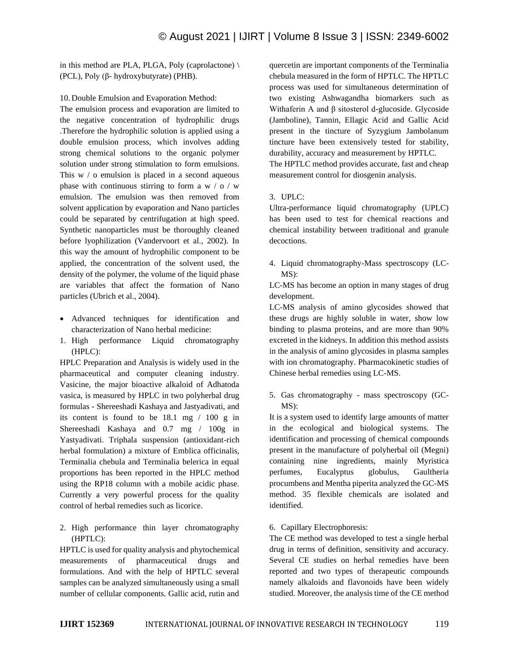in this method are PLA, PLGA, Poly (caprolactone)  $\setminus$ (PCL), Poly (β- hydroxybutyrate) (PHB).

10. Double Emulsion and Evaporation Method:

The emulsion process and evaporation are limited to the negative concentration of hydrophilic drugs .Therefore the hydrophilic solution is applied using a double emulsion process, which involves adding strong chemical solutions to the organic polymer solution under strong stimulation to form emulsions. This w / o emulsion is placed in a second aqueous phase with continuous stirring to form a w  $\prime$  o  $\prime$  w emulsion. The emulsion was then removed from solvent application by evaporation and Nano particles could be separated by centrifugation at high speed. Synthetic nanoparticles must be thoroughly cleaned before lyophilization (Vandervoort et al., 2002). In this way the amount of hydrophilic component to be applied, the concentration of the solvent used, the density of the polymer, the volume of the liquid phase are variables that affect the formation of Nano particles (Ubrich et al., 2004).

- Advanced techniques for identification and characterization of Nano herbal medicine:
- 1. High performance Liquid chromatography (HPLC):

HPLC Preparation and Analysis is widely used in the pharmaceutical and computer cleaning industry. Vasicine, the major bioactive alkaloid of Adhatoda vasica, is measured by HPLC in two polyherbal drug formulas - Shereeshadi Kashaya and Jastyadivati, and its content is found to be 18.1 mg / 100 g in Shereeshadi Kashaya and 0.7 mg / 100g in Yastyadivati. Triphala suspension (antioxidant-rich herbal formulation) a mixture of Emblica officinalis, Terminalia chebula and Terminalia belerica in equal proportions has been reported in the HPLC method using the RP18 column with a mobile acidic phase. Currently a very powerful process for the quality control of herbal remedies such as licorice.

2. High performance thin layer chromatography (HPTLC):

HPTLC is used for quality analysis and phytochemical measurements of pharmaceutical drugs and formulations. And with the help of HPTLC several samples can be analyzed simultaneously using a small number of cellular components. Gallic acid, rutin and quercetin are important components of the Terminalia chebula measured in the form of HPTLC. The HPTLC process was used for simultaneous determination of two existing Ashwagandha biomarkers such as Withaferin A and β sitosterol d-glucoside. Glycoside (Jamboline), Tannin, Ellagic Acid and Gallic Acid present in the tincture of Syzygium Jambolanum tincture have been extensively tested for stability, durability, accuracy and measurement by HPTLC. The HPTLC method provides accurate, fast and cheap

### 3. UPLC:

Ultra-performance liquid chromatography (UPLC) has been used to test for chemical reactions and chemical instability between traditional and granule decoctions.

measurement control for diosgenin analysis.

4. Liquid chromatography-Mass spectroscopy (LC-MS):

LC-MS has become an option in many stages of drug development.

LC-MS analysis of amino glycosides showed that these drugs are highly soluble in water, show low binding to plasma proteins, and are more than 90% excreted in the kidneys. In addition this method assists in the analysis of amino glycosides in plasma samples with ion chromatography. Pharmacokinetic studies of Chinese herbal remedies using LC-MS.

5. Gas chromatography - mass spectroscopy (GC-MS):

It is a system used to identify large amounts of matter in the ecological and biological systems. The identification and processing of chemical compounds present in the manufacture of polyherbal oil (Megni) containing nine ingredients, mainly Myristica perfumes, Eucalyptus globulus, Gaultheria procumbens and Mentha piperita analyzed the GC-MS method. 35 flexible chemicals are isolated and identified.

#### 6. Capillary Electrophoresis:

The CE method was developed to test a single herbal drug in terms of definition, sensitivity and accuracy. Several CE studies on herbal remedies have been reported and two types of therapeutic compounds namely alkaloids and flavonoids have been widely studied. Moreover, the analysis time of the CE method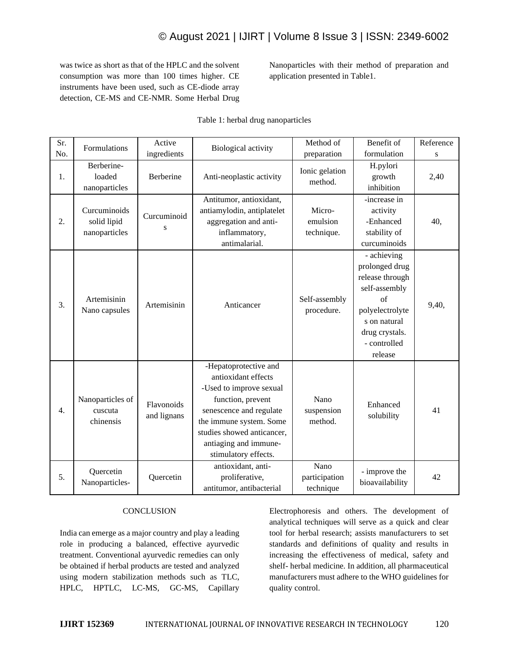# © August 2021 | IJIRT | Volume 8 Issue 3 | ISSN: 2349-6002

was twice as short as that of the HPLC and the solvent consumption was more than 100 times higher. CE instruments have been used, such as CE-diode array detection, CE-MS and CE-NMR. Some Herbal Drug Nanoparticles with their method of preparation and application presented in Table1.

| Sr. | Formulations                                 | Active                    | Biological activity                                                                                                                                                                                                               | Method of                          | Benefit of                                                                                                                                              | Reference |
|-----|----------------------------------------------|---------------------------|-----------------------------------------------------------------------------------------------------------------------------------------------------------------------------------------------------------------------------------|------------------------------------|---------------------------------------------------------------------------------------------------------------------------------------------------------|-----------|
| No. |                                              | ingredients               |                                                                                                                                                                                                                                   | preparation                        | formulation                                                                                                                                             | S         |
| 1.  | Berberine-<br>loaded<br>nanoparticles        | Berberine                 | Anti-neoplastic activity                                                                                                                                                                                                          | Ionic gelation<br>method.          | H.pylori<br>growth<br>inhibition                                                                                                                        | 2,40      |
| 2.  | Curcuminoids<br>solid lipid<br>nanoparticles | Curcuminoid<br>S          | Antitumor, antioxidant,<br>antiamylodin, antiplatelet<br>aggregation and anti-<br>inflammatory,<br>antimalarial.                                                                                                                  | Micro-<br>emulsion<br>technique.   | -increase in<br>activity<br>-Enhanced<br>stability of<br>curcuminoids                                                                                   | 40,       |
| 3.  | Artemisinin<br>Nano capsules                 | Artemisinin               | Anticancer                                                                                                                                                                                                                        | Self-assembly<br>procedure.        | - achieving<br>prolonged drug<br>release through<br>self-assembly<br>of<br>polyelectrolyte<br>s on natural<br>drug crystals.<br>- controlled<br>release | 9,40,     |
| 4.  | Nanoparticles of<br>cuscuta<br>chinensis     | Flavonoids<br>and lignans | -Hepatoprotective and<br>antioxidant effects<br>-Used to improve sexual<br>function, prevent<br>senescence and regulate<br>the immune system. Some<br>studies showed anticancer,<br>antiaging and immune-<br>stimulatory effects. | Nano<br>suspension<br>method.      | Enhanced<br>solubility                                                                                                                                  | 41        |
| 5.  | Quercetin<br>Nanoparticles-                  | Quercetin                 | antioxidant, anti-<br>proliferative,<br>antitumor, antibacterial                                                                                                                                                                  | Nano<br>participation<br>technique | - improve the<br>bioavailability                                                                                                                        | 42        |

#### Table 1: herbal drug nanoparticles

#### **CONCLUSION**

India can emerge as a major country and play a leading role in producing a balanced, effective ayurvedic treatment. Conventional ayurvedic remedies can only be obtained if herbal products are tested and analyzed using modern stabilization methods such as TLC, HPLC, HPTLC, LC-MS, GC-MS, Capillary

Electrophoresis and others. The development of analytical techniques will serve as a quick and clear tool for herbal research; assists manufacturers to set standards and definitions of quality and results in increasing the effectiveness of medical, safety and shelf- herbal medicine. In addition, all pharmaceutical manufacturers must adhere to the WHO guidelines for quality control.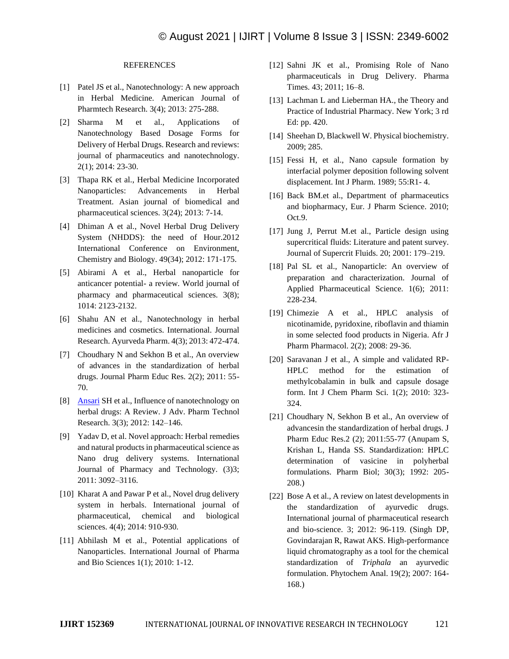### **REFERENCES**

- [1] Patel JS et al., Nanotechnology: A new approach in Herbal Medicine. American Journal of Pharmtech Research. 3(4); 2013: 275-288.
- [2] Sharma M et al., Applications of Nanotechnology Based Dosage Forms for Delivery of Herbal Drugs. Research and reviews: journal of pharmaceutics and nanotechnology. 2(1); 2014: 23-30.
- [3] Thapa RK et al., Herbal Medicine Incorporated Nanoparticles: Advancements in Herbal Treatment. Asian journal of biomedical and pharmaceutical sciences. 3(24); 2013: 7-14.
- [4] Dhiman A et al., Novel Herbal Drug Delivery System (NHDDS): the need of Hour.2012 International Conference on Environment, Chemistry and Biology. 49(34); 2012: 171-175.
- [5] Abirami A et al., Herbal nanoparticle for anticancer potential- a review. World journal of pharmacy and pharmaceutical sciences. 3(8); 1014: 2123-2132.
- [6] Shahu AN et al., Nanotechnology in herbal medicines and cosmetics. International. Journal Research. Ayurveda Pharm. 4(3); 2013: 472-474.
- [7] Choudhary N and Sekhon B et al., An overview of advances in the standardization of herbal drugs. Journal Pharm Educ Res. 2(2); 2011: 55- 70.
- [8] [Ansari](http://www.ncbi.nlm.nih.gov/pubmed/?term=Ansari%20SH%5Bauth%5D) SH et al., Influence of nanotechnology on herbal drugs: A Review. J Adv. Pharm Technol Research. 3(3); 2012: 142–146.
- [9] Yadav D, et al. Novel approach: Herbal remedies and natural products in pharmaceutical science as Nano drug delivery systems. International Journal of Pharmacy and Technology. (3)3; 2011: 3092–3116.
- [10] Kharat A and Pawar P et al., Novel drug delivery system in herbals. International journal of pharmaceutical, chemical and biological sciences. 4(4); 2014: 910-930.
- [11] Abhilash M et al., Potential applications of Nanoparticles. International Journal of Pharma and Bio Sciences 1(1); 2010: 1-12.
- [12] Sahni JK et al., Promising Role of Nano pharmaceuticals in Drug Delivery. Pharma Times. 43; 2011; 16–8.
- [13] Lachman L and Lieberman HA., the Theory and Practice of Industrial Pharmacy. New York; 3 rd Ed: pp. 420.
- [14] Sheehan D, Blackwell W. Physical biochemistry. 2009; 285.
- [15] Fessi H, et al., Nano capsule formation by interfacial polymer deposition following solvent displacement. Int J Pharm. 1989; 55:R1- 4.
- [16] Back BM.et al., Department of pharmaceutics and biopharmacy, Eur. J Pharm Science. 2010; Oct.9.
- [17] Jung J, Perrut M.et al., Particle design using supercritical fluids: Literature and patent survey. Journal of Supercrit Fluids. 20; 2001: 179–219.
- [18] Pal SL et al., Nanoparticle: An overview of preparation and characterization. Journal of Applied Pharmaceutical Science. 1(6); 2011: 228-234.
- [19] Chimezie A et al., HPLC analysis of nicotinamide, pyridoxine, riboflavin and thiamin in some selected food products in Nigeria. Afr J Pharm Pharmacol. 2(2); 2008: 29-36.
- [20] Saravanan J et al., A simple and validated RP-HPLC method for the estimation of methylcobalamin in bulk and capsule dosage form. Int J Chem Pharm Sci. 1(2); 2010: 323- 324.
- [21] Choudhary N, Sekhon B et al., An overview of advancesin the standardization of herbal drugs. J Pharm Educ Res.2 (2); 2011:55-77 (Anupam S, Krishan L, Handa SS. Standardization: HPLC determination of vasicine in polyherbal formulations. Pharm Biol; 30(3); 1992: 205- 208.)
- [22] Bose A et al., A review on latest developments in the standardization of ayurvedic drugs. International journal of pharmaceutical research and bio-science. 3; 2012: 96-119. (Singh DP, Govindarajan R, Rawat AKS. High-performance liquid chromatography as a tool for the chemical standardization of *Triphala* an ayurvedic formulation. Phytochem Anal. 19(2); 2007: 164- 168.)